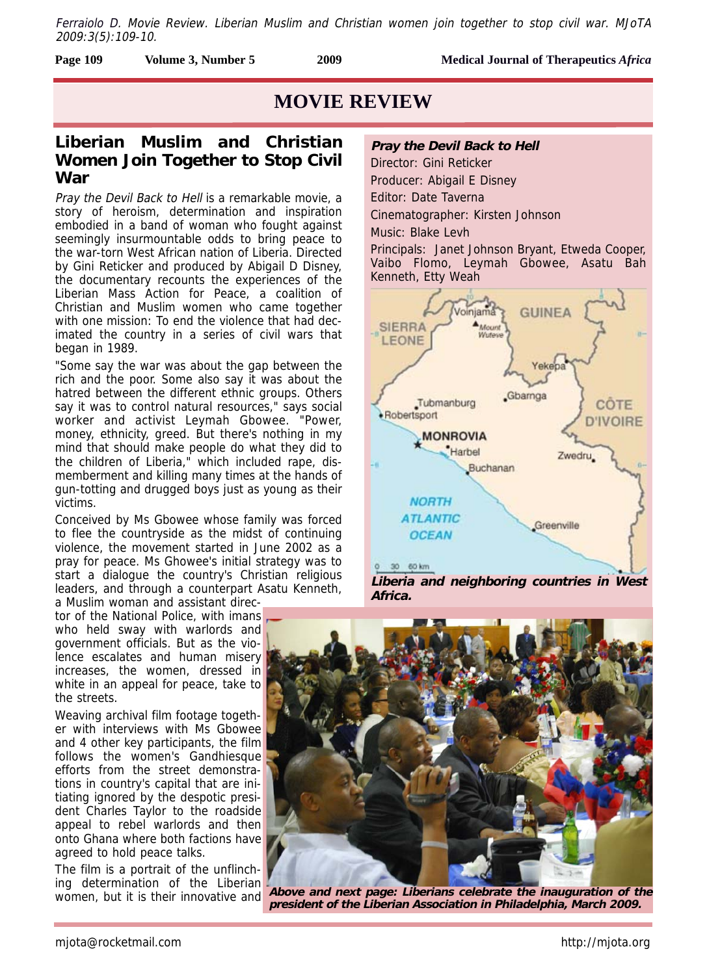Ferraiolo D. Movie Review. Liberian Muslim and Christian women join together to stop civil war. MJoTA 2009:3(5):109-10.

| <b>Page 109</b><br><b>Medical Journal of Therapeutics Africa</b><br>2009<br>Volume 3, Number 5 |  |
|------------------------------------------------------------------------------------------------|--|
|------------------------------------------------------------------------------------------------|--|

# **MOVIE REVIEW**

## **Liberian Muslim and Christian Women Join Together to Stop Civil War**

Pray the Devil Back to Hell is a remarkable movie, a story of heroism, determination and inspiration embodied in a band of woman who fought against seemingly insurmountable odds to bring peace to the war-torn West African nation of Liberia. Directed by Gini Reticker and produced by Abigail D Disney, the documentary recounts the experiences of the Liberian Mass Action for Peace, a coalition of Christian and Muslim women who came together with one mission: To end the violence that had decimated the country in a series of civil wars that began in 1989.

"Some say the war was about the gap between the rich and the poor. Some also say it was about the hatred between the different ethnic groups. Others say it was to control natural resources," says social worker and activist Leymah Gbowee. "Power, money, ethnicity, greed. But there's nothing in my mind that should make people do what they did to the children of Liberia," which included rape, dismemberment and killing many times at the hands of gun-totting and drugged boys just as young as their victims.

Conceived by Ms Gbowee whose family was forced to flee the countryside as the midst of continuing violence, the movement started in June 2002 as a pray for peace. Ms Ghowee's initial strategy was to start a dialogue the country's Christian religious leaders, and through a counterpart Asatu Kenneth,

a Muslim woman and assistant director of the National Police, with imans who held sway with warlords and government officials. But as the violence escalates and human misery increases, the women, dressed in white in an appeal for peace, take to the streets.

Weaving archival film footage together with interviews with Ms Gbowee and 4 other key participants, the film follows the women's Gandhiesque efforts from the street demonstrations in country's capital that are initiating ignored by the despotic president Charles Taylor to the roadside appeal to rebel warlords and then onto Ghana where both factions have agreed to hold peace talks.

The film is a portrait of the unflinching determination of the Liberian women, but it is their innovative and

### **Pray the Devil Back to Hell**

Director: Gini Reticker Producer: Abigail E Disney Editor: Date Taverna Cinematographer: Kirsten Johnson

Music: Blake Levh

Principals: Janet Johnson Bryant, Etweda Cooper, Vaibo Flomo, Leymah Gbowee, Asatu Bah Kenneth, Etty Weah



**Liberia and neighboring countries in West Africa.**



**Above and next page: Liberians celebrate the inauguration of the president of the Liberian Association in Philadelphia, March 2009.**